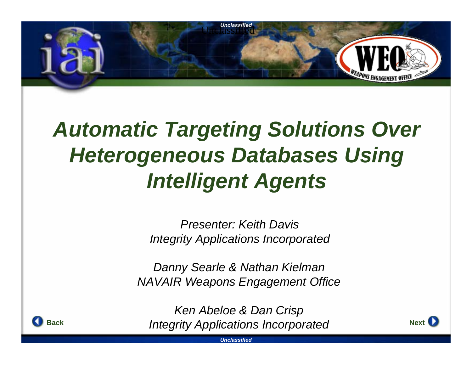

# *Automatic Targeting Solutions Over Heterogeneous Databases Using Intelligent Agents*

*Presenter: Keith DavisIntegrity Applications Incorporated*

*Danny Searle & Nathan Kielman NAVAIR Weapons Engagement Office*

**K** *Integrity Applications Incorporated* **Next** *Ken Abeloe & Dan Crisp*



*Unclassified*

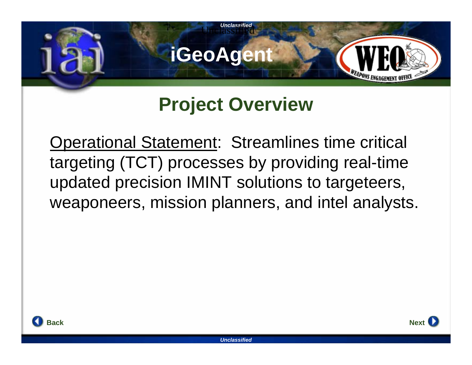

#### **Project Overview**

Operational Statement: Streamlines time critical targeting (TCT) processes by providing real-time updated precision IMINT solutions to targeteers, weaponeers, mission planners, and intel analysts.



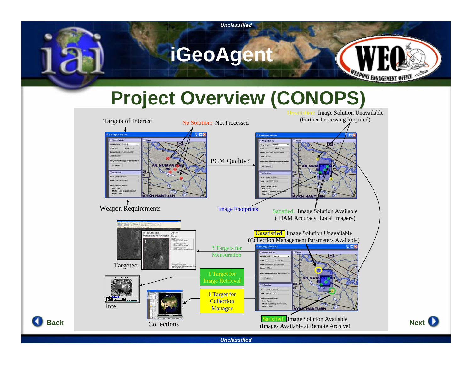

## **Project Overview (CONOPS)**



*Unclassified*

**Back**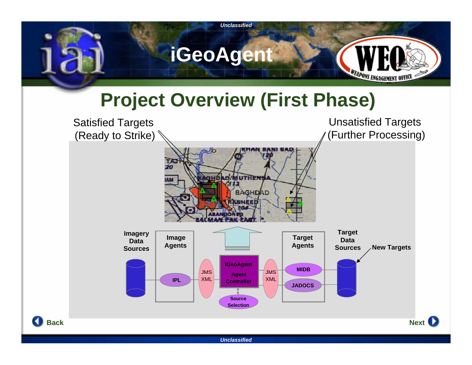

## **Project Overview (First Phase)**

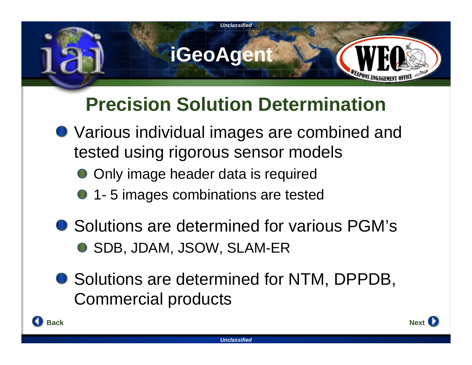

### **Precision Solution Determination**

- Various individual images are combined and tested using rigorous sensor models
	- Only image header data is required
	- **1** 5 images combinations are tested
- Solutions are determined for various PGM's ● SDB, JDAM, JSOW, SLAM-ER
- Solutions are determined for NTM, DPPDB, Commercial products



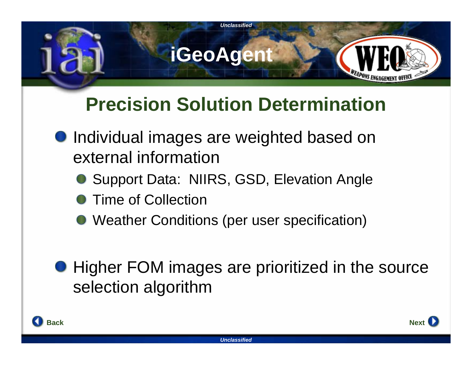

## **Precision Solution Determination**

- **Individual images are weighted based on** external information
	- Support Data: NIIRS, GSD, Elevation Angle
	- Time of Collection
	- Weather Conditions (per user specification)
- **Higher FOM images are prioritized in the source** selection algorithm

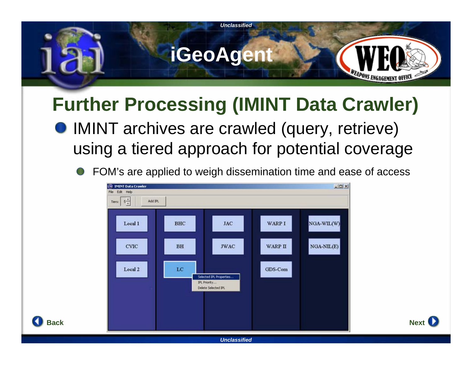

## **Further Processing (IMINT Data Crawler)**

- IMINT archives are crawled (query, retrieve) using a tiered approach for potential coverage
	- FOM's are applied to weigh dissemination time and ease of access





*Unclassified*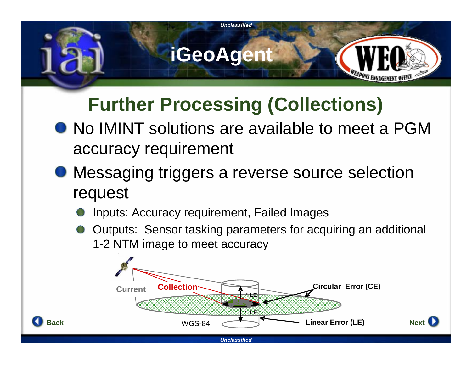

## **Further Processing (Collections)**

- No IMINT solutions are available to meet a PGM accuracy requirement
- Messaging triggers a reverse source selection request
	- Inputs: Accuracy requirement, Failed Images

**Back**

Outputs: Sensor tasking parameters for acquiring an additional 1-2 NTM image to meet accuracy

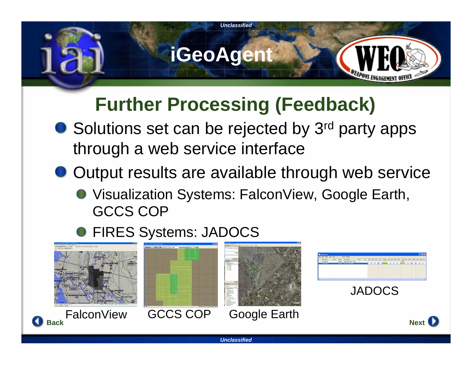

## **Further Processing (Feedback)**

- Solutions set can be rejected by 3<sup>rd</sup> party apps through a web service interface
- Output results are available through web service
	- Visualization Systems: FalconView, Google Earth, GCCS COP

#### **O FIRES Systems: JADOCS**



*Unclassified*